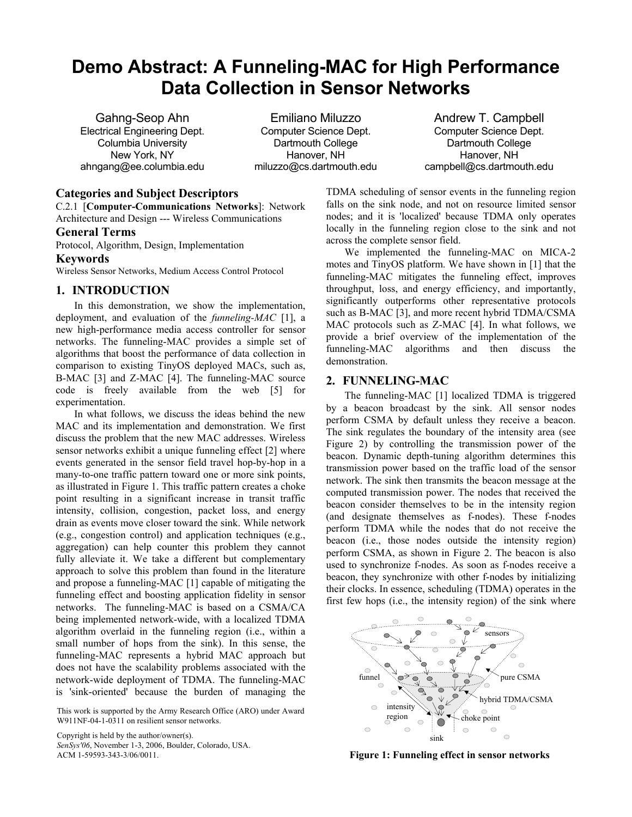# **Demo Abstract: A Funneling-MAC for High Performance Data Collection in Sensor Networks**

Gahng-Seop Ahn Electrical Engineering Dept. Columbia University New York, NY ahngang@ee.columbia.edu

Emiliano Miluzzo Computer Science Dept. Dartmouth College Hanover, NH miluzzo@cs.dartmouth.edu

Andrew T. Campbell Computer Science Dept. Dartmouth College Hanover, NH campbell@cs.dartmouth.edu

## **Categories and Subject Descriptors**

C.2.1 [**Computer-Communications Networks**]: Network Architecture and Design --- Wireless Communications

## **General Terms**

Protocol, Algorithm, Design, Implementation

### **Keywords**

Wireless Sensor Networks, Medium Access Control Protocol

## **1. INTRODUCTION**

In this demonstration, we show the implementation, deployment, and evaluation of the *funneling-MAC* [1], a new high-performance media access controller for sensor networks. The funneling-MAC provides a simple set of algorithms that boost the performance of data collection in comparison to existing TinyOS deployed MACs, such as, B-MAC [3] and Z-MAC [4]. The funneling-MAC source code is freely available from the web [5] for experimentation.

In what follows, we discuss the ideas behind the new MAC and its implementation and demonstration. We first discuss the problem that the new MAC addresses. Wireless sensor networks exhibit a unique funneling effect [2] where events generated in the sensor field travel hop-by-hop in a many-to-one traffic pattern toward one or more sink points, as illustrated in Figure 1. This traffic pattern creates a choke point resulting in a significant increase in transit traffic intensity, collision, congestion, packet loss, and energy drain as events move closer toward the sink. While network (e.g., congestion control) and application techniques (e.g., aggregation) can help counter this problem they cannot fully alleviate it. We take a different but complementary approach to solve this problem than found in the literature and propose a funneling-MAC [1] capable of mitigating the funneling effect and boosting application fidelity in sensor networks. The funneling-MAC is based on a CSMA/CA being implemented network-wide, with a localized TDMA algorithm overlaid in the funneling region (i.e., within a small number of hops from the sink). In this sense, the funneling-MAC represents a hybrid MAC approach but does not have the scalability problems associated with the network-wide deployment of TDMA. The funneling-MAC is 'sink-oriented' because the burden of managing the

This work is supported by the Army Research Office (ARO) under Award W911NF-04-1-0311 on resilient sensor networks.

Copyright is held by the author/owner(s). *SenSys'06*, November 1-3, 2006, Boulder, Colorado, USA. TDMA scheduling of sensor events in the funneling region falls on the sink node, and not on resource limited sensor nodes; and it is 'localized' because TDMA only operates locally in the funneling region close to the sink and not across the complete sensor field.

We implemented the funneling-MAC on MICA-2 motes and TinyOS platform. We have shown in [1] that the funneling-MAC mitigates the funneling effect, improves throughput, loss, and energy efficiency, and importantly, significantly outperforms other representative protocols such as B-MAC [3], and more recent hybrid TDMA/CSMA MAC protocols such as Z-MAC [4]. In what follows, we provide a brief overview of the implementation of the funneling-MAC algorithms and then discuss the demonstration.

## **2. FUNNELING-MAC**

The funneling-MAC [1] localized TDMA is triggered by a beacon broadcast by the sink. All sensor nodes perform CSMA by default unless they receive a beacon. The sink regulates the boundary of the intensity area (see Figure 2) by controlling the transmission power of the beacon. Dynamic depth-tuning algorithm determines this transmission power based on the traffic load of the sensor network. The sink then transmits the beacon message at the computed transmission power. The nodes that received the beacon consider themselves to be in the intensity region (and designate themselves as f-nodes). These f-nodes perform TDMA while the nodes that do not receive the beacon (i.e., those nodes outside the intensity region) perform CSMA, as shown in Figure 2. The beacon is also used to synchronize f-nodes. As soon as f-nodes receive a beacon, they synchronize with other f-nodes by initializing their clocks. In essence, scheduling (TDMA) operates in the first few hops (i.e., the intensity region) of the sink where



ACM 1-59593-343-3/06/0011. **Figure 1: Funneling effect in sensor networks**